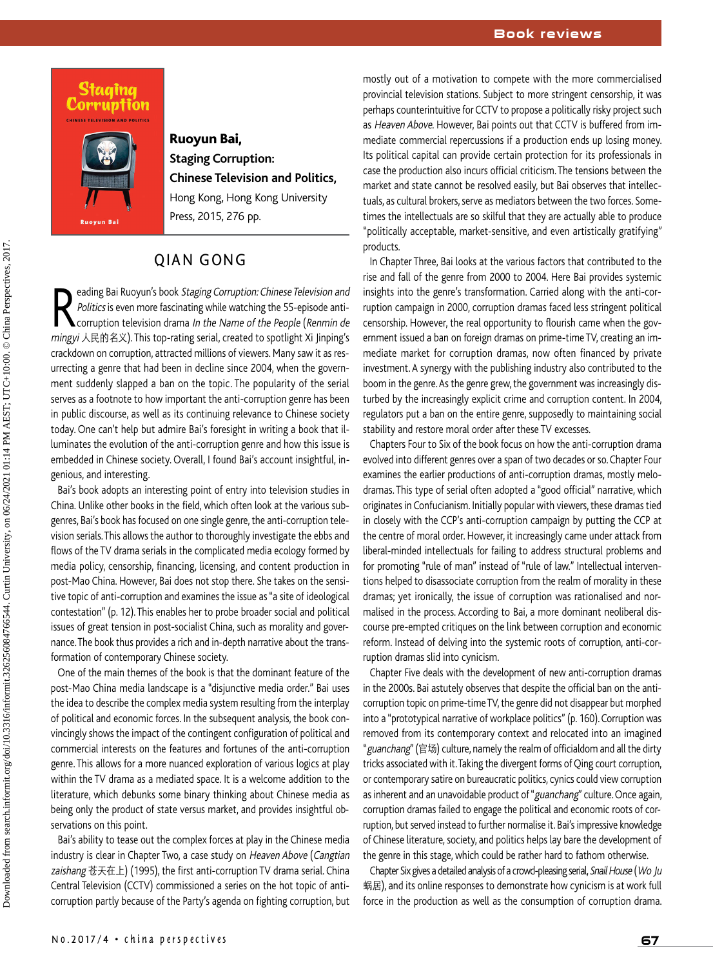#### **Book reviews**





## **Ruoyun Bai, Staging Corruption: Chinese Television and Politics,**  Hong Kong, Hong Kong University Press, 2015, 276 pp.

# **OIAN GONG**

**Reading Bai Ruoyun's book Staging Corruption: Chinese Television and Politics is even more fascinating while watching the 55-episode anti-<br>Corruption television drama In the Name of the People (Renmin de<br>minovi \frac{1}{2} \** Politics is even more fascinating while watching the 55-episode antimingyi 人民的名义). This top-rating serial, created to spotlight Xi Jinping's crackdown on corruption, attracted millions of viewers. Many saw it as resurrecting a genre that had been in decline since 2004, when the government suddenly slapped a ban on the topic. The popularity of the serial serves as a footnote to how important the anti-corruption genre has been in public discourse, as well as its continuing relevance to Chinese society today. One can't help but admire Bai's foresight in writing a book that illuminates the evolution of the anti-corruption genre and how this issue is embedded in Chinese society. Overall, I found Bai's account insightful, ingenious, and interesting.

Bai's book adopts an interesting point of entry into television studies in China. Unlike other books in the field, which often look at the various subgenres, Bai's book has focused on one single genre, the anti-corruption television serials. This allows the author to thoroughly investigate the ebbs and flows of the TV drama serials in the complicated media ecology formed by media policy, censorship, financing, licensing, and content production in post-Mao China. However, Bai does not stop there. She takes on the sensitive topic of anti-corruption and examines the issue as "a site of ideological contestation" (p. 12). This enables her to probe broader social and political issues of great tension in post-socialist China, such as morality and governance. The book thus provides a rich and in-depth narrative about the transformation of contemporary Chinese society.

One of the main themes of the book is that the dominant feature of the post-Mao China media landscape is a "disjunctive media order." Bai uses the idea to describe the complex media system resulting from the interplay of political and economic forces. In the subsequent analysis, the book convincingly shows the impact of the contingent configuration of political and commercial interests on the features and fortunes of the anti-corruption genre. This allows for a more nuanced exploration of various logics at play within the TV drama as a mediated space. It is a welcome addition to the literature, which debunks some binary thinking about Chinese media as being only the product of state versus market, and provides insightful observations on this point.

Bai's ability to tease out the complex forces at play in the Chinese media industry is clear in Chapter Two, a case study on Heaven Above (Cangtian zaishang 苍天在上) (1995), the first anti-corruption TV drama serial. China Central Television (CCTV) commissioned a series on the hot topic of anticorruption partly because of the Party's agenda on fighting corruption, but

mostly out of a motivation to compete with the more commercialised provincial television stations. Subject to more stringent censorship, it was perhaps counterintuitive for CCTV to propose a politically risky project such as Heaven Above. However, Bai points out that CCTV is buffered from immediate commercial repercussions if a production ends up losing money. Its political capital can provide certain protection for its professionals in case the production also incurs official criticism. The tensions between the market and state cannot be resolved easily, but Bai observes that intellectuals, as cultural brokers, serve as mediators between the two forces. Sometimes the intellectuals are so skilful that they are actually able to produce "politically acceptable, market-sensitive, and even artistically gratifying" products.

In Chapter Three, Bai looks at the various factors that contributed to the rise and fall of the genre from 2000 to 2004. Here Bai provides systemic insights into the genre's transformation. Carried along with the anti-corruption campaign in 2000, corruption dramas faced less stringent political censorship. However, the real opportunity to flourish came when the government issued a ban on foreign dramas on prime-time TV, creating an immediate market for corruption dramas, now often financed by private investment. A synergy with the publishing industry also contributed to the boom in the genre. As the genre grew, the government was increasingly disturbed by the increasingly explicit crime and corruption content. In 2004, regulators put a ban on the entire genre, supposedly to maintaining social stability and restore moral order after these TV excesses.

Chapters Four to Six of the book focus on how the anti-corruption drama evolved into different genres over a span of two decades or so. Chapter Four examines the earlier productions of anti-corruption dramas, mostly melodramas. This type of serial often adopted a "good official" narrative, which originates in Confucianism. Initially popular with viewers, these dramas tied in closely with the CCP's anti-corruption campaign by putting the CCP at the centre of moral order. However, it increasingly came under attack from liberal-minded intellectuals for failing to address structural problems and for promoting "rule of man" instead of "rule of law." Intellectual interventions helped to disassociate corruption from the realm of morality in these dramas; yet ironically, the issue of corruption was rationalised and normalised in the process. According to Bai, a more dominant neoliberal discourse pre-empted critiques on the link between corruption and economic reform. Instead of delving into the systemic roots of corruption, anti-corruption dramas slid into cynicism.

Chapter Five deals with the development of new anti-corruption dramas in the 2000s. Bai astutely observes that despite the official ban on the anticorruption topic on prime-time TV, the genre did not disappear but morphed into a "prototypical narrative of workplace politics" (p. 160). Corruption was removed from its contemporary context and relocated into an imagined "guanchang" (官场) culture, namely the realm of officialdom and all the dirty tricks associated with it. Taking the divergent forms of Qing court corruption, or contemporary satire on bureaucratic politics, cynics could view corruption as inherent and an unavoidable product of "guanchang" culture. Once again, corruption dramas failed to engage the political and economic roots of corruption, but served instead to further normalise it. Bai's impressive knowledge of Chinese literature, society, and politics helps lay bare the development of the genre in this stage, which could be rather hard to fathom otherwise.

Chapter Six gives a detailed analysis of a crowd-pleasing serial, Snail House (Wo Ju 蜗居), and its online responses to demonstrate how cynicism is at work full force in the production as well as the consumption of corruption drama.